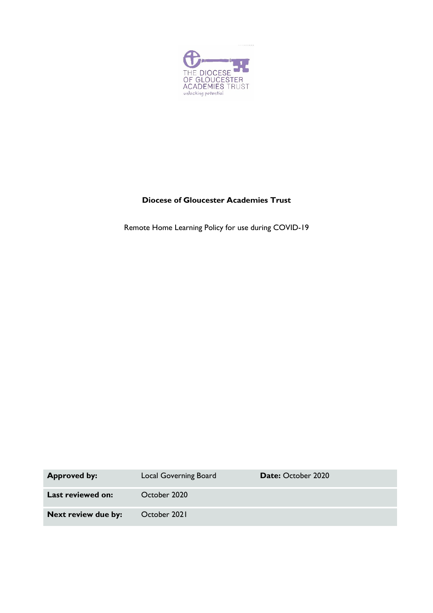

# **Diocese of Gloucester Academies Trust**

Remote Home Learning Policy for use during COVID-19

| <b>Approved by:</b>      | Local Governing Board | <b>Date: October 2020</b> |
|--------------------------|-----------------------|---------------------------|
| <b>Last reviewed on:</b> | October 2020          |                           |
| Next review due by:      | October 2021          |                           |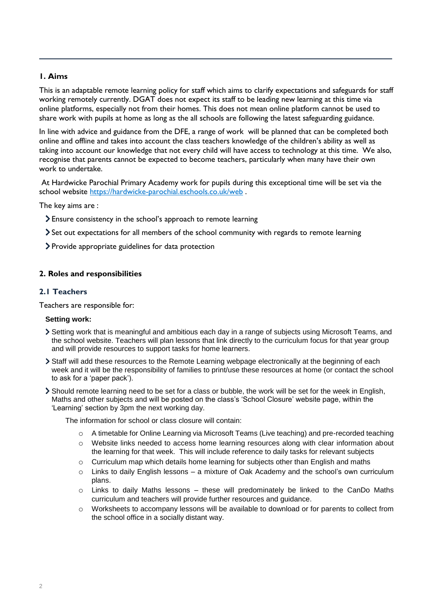## **1. Aims**

This is an adaptable remote learning policy for staff which aims to clarify expectations and safeguards for staff working remotely currently. DGAT does not expect its staff to be leading new learning at this time via online platforms, especially not from their homes. This does not mean online platform cannot be used to share work with pupils at home as long as the all schools are following the latest safeguarding guidance.

In line with advice and guidance from the DFE, a range of work will be planned that can be completed both online and offline and takes into account the class teachers knowledge of the children's ability as well as taking into account our knowledge that not every child will have access to technology at this time. We also, recognise that parents cannot be expected to become teachers, particularly when many have their own work to undertake.

At Hardwicke Parochial Primary Academy work for pupils during this exceptional time will be set via the school website <https://hardwicke-parochial.eschools.co.uk/web> .

The key aims are :

- Ensure consistency in the school's approach to remote learning
- Set out expectations for all members of the school community with regards to remote learning
- Provide appropriate guidelines for data protection

#### **2. Roles and responsibilities**

#### **2.1 Teachers**

Teachers are responsible for:

#### **Setting work:**

- Setting work that is meaningful and ambitious each day in a range of subjects using Microsoft Teams, and the school website. Teachers will plan lessons that link directly to the curriculum focus for that year group and will provide resources to support tasks for home learners.
- Staff will add these resources to the Remote Learning webpage electronically at the beginning of each week and it will be the responsibility of families to print/use these resources at home (or contact the school to ask for a 'paper pack').
- Should remote learning need to be set for a class or bubble, the work will be set for the week in English, Maths and other subjects and will be posted on the class's 'School Closure' website page, within the 'Learning' section by 3pm the next working day.

The information for school or class closure will contain:

- o A timetable for Online Learning via Microsoft Teams (Live teaching) and pre-recorded teaching
- o Website links needed to access home learning resources along with clear information about the learning for that week. This will include reference to daily tasks for relevant subjects
- o Curriculum map which details home learning for subjects other than English and maths
- o Links to daily English lessons a mixture of Oak Academy and the school's own curriculum plans.
- $\circ$  Links to daily Maths lessons these will predominately be linked to the CanDo Maths curriculum and teachers will provide further resources and guidance.
- o Worksheets to accompany lessons will be available to download or for parents to collect from the school office in a socially distant way.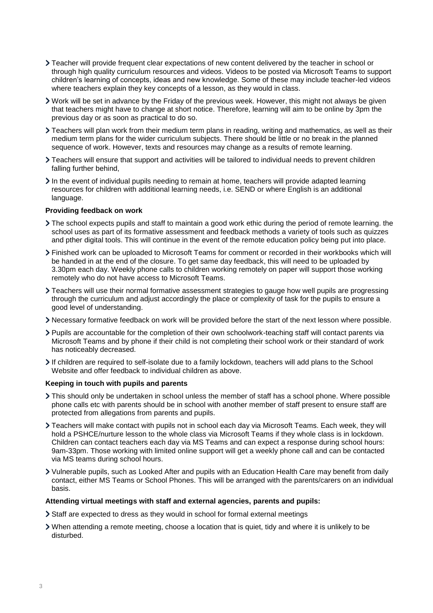- Teacher will provide frequent clear expectations of new content delivered by the teacher in school or through high quality curriculum resources and videos. Videos to be posted via Microsoft Teams to support children's learning of concepts, ideas and new knowledge. Some of these may include teacher-led videos where teachers explain they key concepts of a lesson, as they would in class.
- Work will be set in advance by the Friday of the previous week. However, this might not always be given that teachers might have to change at short notice. Therefore, learning will aim to be online by 3pm the previous day or as soon as practical to do so.
- Teachers will plan work from their medium term plans in reading, writing and mathematics, as well as their medium term plans for the wider curriculum subjects. There should be little or no break in the planned sequence of work. However, texts and resources may change as a results of remote learning.
- Teachers will ensure that support and activities will be tailored to individual needs to prevent children falling further behind,
- In the event of individual pupils needing to remain at home, teachers will provide adapted learning resources for children with additional learning needs, i.e. SEND or where English is an additional language.

#### **Providing feedback on work**

- The school expects pupils and staff to maintain a good work ethic during the period of remote learning. the school uses as part of its formative assessment and feedback methods a variety of tools such as quizzes and pther digital tools. This will continue in the event of the remote education policy being put into place.
- Finished work can be uploaded to Microsoft Teams for comment or recorded in their workbooks which will be handed in at the end of the closure. To get same day feedback, this will need to be uploaded by 3.30pm each day. Weekly phone calls to children working remotely on paper will support those working remotely who do not have access to Microsoft Teams.
- Teachers will use their normal formative assessment strategies to gauge how well pupils are progressing through the curriculum and adjust accordingly the place or complexity of task for the pupils to ensure a good level of understanding.
- Necessary formative feedback on work will be provided before the start of the next lesson where possible.
- Pupils are accountable for the completion of their own schoolwork-teaching staff will contact parents via Microsoft Teams and by phone if their child is not completing their school work or their standard of work has noticeably decreased.
- If children are required to self-isolate due to a family lockdown, teachers will add plans to the School Website and offer feedback to individual children as above.

#### **Keeping in touch with pupils and parents**

- This should only be undertaken in school unless the member of staff has a school phone. Where possible phone calls etc with parents should be in school with another member of staff present to ensure staff are protected from allegations from parents and pupils.
- Teachers will make contact with pupils not in school each day via Microsoft Teams. Each week, they will hold a PSHCE/nurture lesson to the whole class via Microsoft Teams if they whole class is in lockdown. Children can contact teachers each day via MS Teams and can expect a response during school hours: 9am-33pm. Those working with limited online support will get a weekly phone call and can be contacted via MS teams during school hours.
- Vulnerable pupils, such as Looked After and pupils with an Education Health Care may benefit from daily contact, either MS Teams or School Phones. This will be arranged with the parents/carers on an individual basis.

#### **Attending virtual meetings with staff and external agencies, parents and pupils:**

- Staff are expected to dress as they would in school for formal external meetings
- When attending a remote meeting, choose a location that is quiet, tidy and where it is unlikely to be disturbed.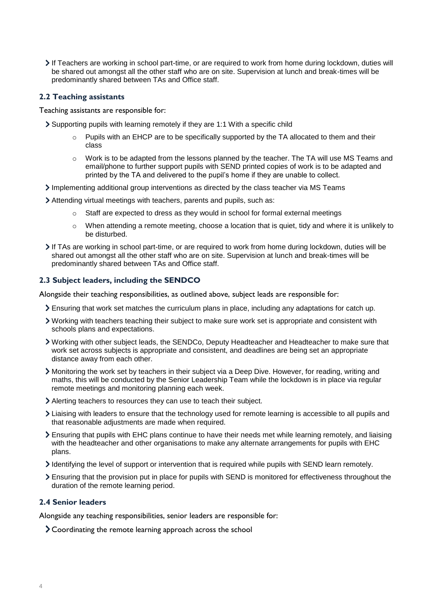If Teachers are working in school part-time, or are required to work from home during lockdown, duties will be shared out amongst all the other staff who are on site. Supervision at lunch and break-times will be predominantly shared between TAs and Office staff.

## **2.2 Teaching assistants**

Teaching assistants are responsible for:

Supporting pupils with learning remotely if they are 1:1 With a specific child

- $\circ$  Pupils with an EHCP are to be specifically supported by the TA allocated to them and their class
- $\circ$  Work is to be adapted from the lessons planned by the teacher. The TA will use MS Teams and email/phone to further support pupils with SEND printed copies of work is to be adapted and printed by the TA and delivered to the pupil's home if they are unable to collect.
- Implementing additional group interventions as directed by the class teacher via MS Teams
- Attending virtual meetings with teachers, parents and pupils, such as:
	- $\circ$  Staff are expected to dress as they would in school for formal external meetings
	- $\circ$  When attending a remote meeting, choose a location that is quiet, tidy and where it is unlikely to be disturbed.
- If TAs are working in school part-time, or are required to work from home during lockdown, duties will be shared out amongst all the other staff who are on site. Supervision at lunch and break-times will be predominantly shared between TAs and Office staff.

## **2.3 Subject leaders, including the SENDCO**

Alongside their teaching responsibilities, as outlined above, subject leads are responsible for:

- Ensuring that work set matches the curriculum plans in place, including any adaptations for catch up.
- Working with teachers teaching their subject to make sure work set is appropriate and consistent with schools plans and expectations.
- Working with other subject leads, the SENDCo, Deputy Headteacher and Headteacher to make sure that work set across subjects is appropriate and consistent, and deadlines are being set an appropriate distance away from each other.
- Monitoring the work set by teachers in their subject via a Deep Dive. However, for reading, writing and maths, this will be conducted by the Senior Leadership Team while the lockdown is in place via regular remote meetings and monitoring planning each week.
- Alerting teachers to resources they can use to teach their subject.
- Liaising with leaders to ensure that the technology used for remote learning is accessible to all pupils and that reasonable adjustments are made when required.
- Ensuring that pupils with EHC plans continue to have their needs met while learning remotely, and liaising with the headteacher and other organisations to make any alternate arrangements for pupils with EHC plans.
- Identifying the level of support or intervention that is required while pupils with SEND learn remotely.
- Ensuring that the provision put in place for pupils with SEND is monitored for effectiveness throughout the duration of the remote learning period.

#### **2.4 Senior leaders**

Alongside any teaching responsibilities, senior leaders are responsible for:

Coordinating the remote learning approach across the school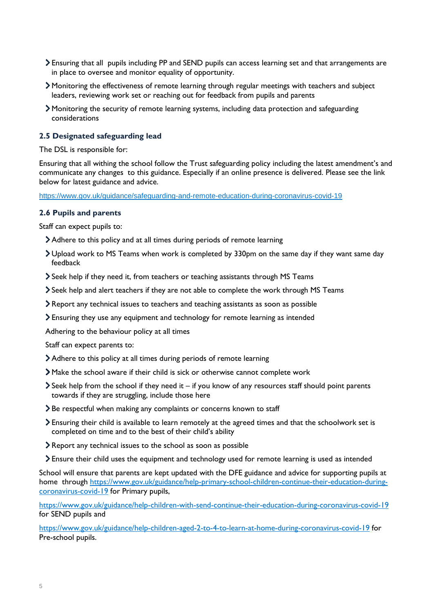- Ensuring that all pupils including PP and SEND pupils can access learning set and that arrangements are in place to oversee and monitor equality of opportunity.
- Monitoring the effectiveness of remote learning through regular meetings with teachers and subject leaders, reviewing work set or reaching out for feedback from pupils and parents
- Monitoring the security of remote learning systems, including data protection and safeguarding considerations

### **2.5 Designated safeguarding lead**

The DSL is responsible for:

Ensuring that all withing the school follow the Trust safeguarding policy including the latest amendment's and communicate any changes to this guidance. Especially if an online presence is delivered. Please see the link below for latest guidance and advice.

<https://www.gov.uk/guidance/safeguarding-and-remote-education-during-coronavirus-covid-19>

#### **2.6 Pupils and parents**

Staff can expect pupils to:

- Adhere to this policy and at all times during periods of remote learning
- Upload work to MS Teams when work is completed by 330pm on the same day if they want same day feedback
- Seek help if they need it, from teachers or teaching assistants through MS Teams
- Seek help and alert teachers if they are not able to complete the work through MS Teams
- Report any technical issues to teachers and teaching assistants as soon as possible
- Ensuring they use any equipment and technology for remote learning as intended

Adhering to the behaviour policy at all times

Staff can expect parents to:

- Adhere to this policy at all times during periods of remote learning
- Make the school aware if their child is sick or otherwise cannot complete work
- $\blacktriangleright$  Seek help from the school if they need it if you know of any resources staff should point parents towards if they are struggling, include those here
- > Be respectful when making any complaints or concerns known to staff
- Ensuring their child is available to learn remotely at the agreed times and that the schoolwork set is completed on time and to the best of their child's ability
- Report any technical issues to the school as soon as possible
- Ensure their child uses the equipment and technology used for remote learning is used as intended

School will ensure that parents are kept updated with the DFE guidance and advice for supporting pupils at home through [https://www.gov.uk/guidance/help-primary-school-children-continue-their-education-during](https://www.gov.uk/guidance/help-primary-school-children-continue-their-education-during-coronavirus-covid-19)[coronavirus-covid-19](https://www.gov.uk/guidance/help-primary-school-children-continue-their-education-during-coronavirus-covid-19) for Primary pupils,

<https://www.gov.uk/guidance/help-children-with-send-continue-their-education-during-coronavirus-covid-19> for SEND pupils and

<https://www.gov.uk/guidance/help-children-aged-2-to-4-to-learn-at-home-during-coronavirus-covid-19> for Pre-school pupils.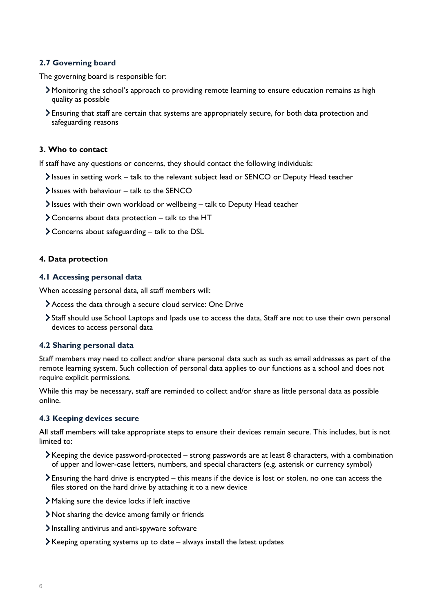## **2.7 Governing board**

The governing board is responsible for:

- Monitoring the school's approach to providing remote learning to ensure education remains as high quality as possible
- Ensuring that staff are certain that systems are appropriately secure, for both data protection and safeguarding reasons

## **3. Who to contact**

If staff have any questions or concerns, they should contact the following individuals:

- Issues in setting work talk to the relevant subject lead or SENCO or Deputy Head teacher
- $\blacktriangleright$  Issues with behaviour talk to the SENCO
- Issues with their own workload or wellbeing talk to Deputy Head teacher
- Concerns about data protection talk to the HT
- $\geq$  Concerns about safeguarding talk to the DSL

#### **4. Data protection**

#### **4.1 Accessing personal data**

When accessing personal data, all staff members will:

- Access the data through a secure cloud service: One Drive
- Staff should use School Laptops and Ipads use to access the data, Staff are not to use their own personal devices to access personal data

#### **4.2 Sharing personal data**

Staff members may need to collect and/or share personal data such as such as email addresses as part of the remote learning system. Such collection of personal data applies to our functions as a school and does not require explicit permissions.

While this may be necessary, staff are reminded to collect and/or share as little personal data as possible online.

#### **4.3 Keeping devices secure**

All staff members will take appropriate steps to ensure their devices remain secure. This includes, but is not limited to:

- Keeping the device password-protected strong passwords are at least 8 characters, with a combination of upper and lower-case letters, numbers, and special characters (e.g. asterisk or currency symbol)
- Ensuring the hard drive is encrypted this means if the device is lost or stolen, no one can access the files stored on the hard drive by attaching it to a new device
- Making sure the device locks if left inactive
- Not sharing the device among family or friends
- Installing antivirus and anti-spyware software
- $\blacktriangleright$  Keeping operating systems up to date  $-$  always install the latest updates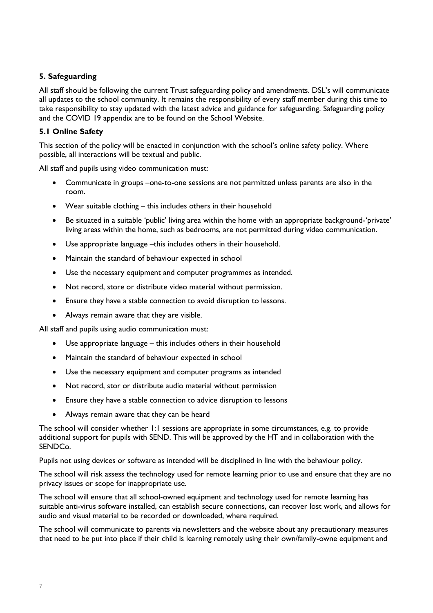## **5. Safeguarding**

All staff should be following the current Trust safeguarding policy and amendments. DSL's will communicate all updates to the school community. It remains the responsibility of every staff member during this time to take responsibility to stay updated with the latest advice and guidance for safeguarding. Safeguarding policy and the COVID 19 appendix are to be found on the School Website.

## **5.1 Online Safety**

This section of the policy will be enacted in conjunction with the school's online safety policy. Where possible, all interactions will be textual and public.

All staff and pupils using video communication must:

- Communicate in groups –one-to-one sessions are not permitted unless parents are also in the room.
- Wear suitable clothing this includes others in their household
- Be situated in a suitable 'public' living area within the home with an appropriate background-'private' living areas within the home, such as bedrooms, are not permitted during video communication.
- Use appropriate language –this includes others in their household.
- Maintain the standard of behaviour expected in school
- Use the necessary equipment and computer programmes as intended.
- Not record, store or distribute video material without permission.
- Ensure they have a stable connection to avoid disruption to lessons.
- Always remain aware that they are visible.

All staff and pupils using audio communication must:

- Use appropriate language this includes others in their household
- Maintain the standard of behaviour expected in school
- Use the necessary equipment and computer programs as intended
- Not record, stor or distribute audio material without permission
- Ensure they have a stable connection to advice disruption to lessons
- Always remain aware that they can be heard

The school will consider whether 1:1 sessions are appropriate in some circumstances, e.g. to provide additional support for pupils with SEND. This will be approved by the HT and in collaboration with the SENDCo.

Pupils not using devices or software as intended will be disciplined in line with the behaviour policy.

The school will risk assess the technology used for remote learning prior to use and ensure that they are no privacy issues or scope for inappropriate use.

The school will ensure that all school-owned equipment and technology used for remote learning has suitable anti-virus software installed, can establish secure connections, can recover lost work, and allows for audio and visual material to be recorded or downloaded, where required.

The school will communicate to parents via newsletters and the website about any precautionary measures that need to be put into place if their child is learning remotely using their own/family-owne equipment and